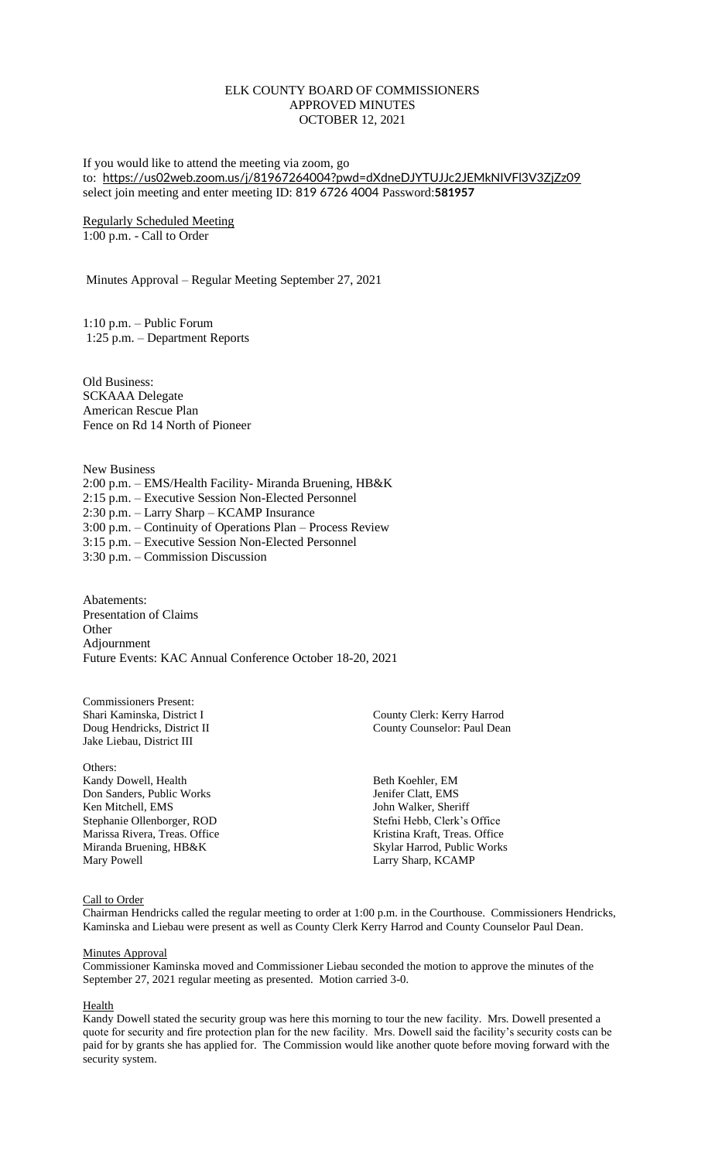## ELK COUNTY BOARD OF COMMISSIONERS APPROVED MINUTES OCTOBER 12, 2021

If you would like to attend the meeting via zoom, go to: <https://us02web.zoom.us/j/81967264004?pwd=dXdneDJYTUJJc2JEMkNIVFl3V3ZjZz09> select join meeting and enter meeting ID: 819 6726 4004 Password:**581957**

Regularly Scheduled Meeting 1:00 p.m. - Call to Order

Minutes Approval – Regular Meeting September 27, 2021

1:10 p.m. – Public Forum 1:25 p.m. – Department Reports

Old Business: SCKAAA Delegate American Rescue Plan Fence on Rd 14 North of Pioneer

New Business 2:00 p.m. – EMS/Health Facility- Miranda Bruening, HB&K 2:15 p.m. – Executive Session Non-Elected Personnel 2:30 p.m. – Larry Sharp – KCAMP Insurance 3:00 p.m. – Continuity of Operations Plan – Process Review 3:15 p.m. – Executive Session Non-Elected Personnel 3:30 p.m. – Commission Discussion

Abatements: Presentation of Claims **Other** Adjournment Future Events: KAC Annual Conference October 18-20, 2021

Commissioners Present: Jake Liebau, District III

Others: Kandy Dowell, Health Beth Koehler, EM<br>
Don Sanders, Public Works
Beth Koehler, EM<br>
Beth Koehler, EMS
Beth Koehler, EMS Don Sanders, Public Works Ken Mitchell, EMS John Walker, Sheriff Stephanie Ollenborger, ROD Stefni Hebb, Clerk's Office Marissa Rivera, Treas. Office Kristina Kraft, Treas. Office Miranda Bruening, HB&K Skylar Harrod, Public Works<br>Mary Powell Larry Sharp, KCAMP

Shari Kaminska, District I and County Clerk: Kerry Harrod Doug Hendricks. District II and County County County County County County County County County County County County County County County County County County County County Counselor: Paul Dean

Larry Sharp, KCAMP

## Call to Order

Chairman Hendricks called the regular meeting to order at 1:00 p.m. in the Courthouse. Commissioners Hendricks, Kaminska and Liebau were present as well as County Clerk Kerry Harrod and County Counselor Paul Dean.

#### Minutes Approval

Commissioner Kaminska moved and Commissioner Liebau seconded the motion to approve the minutes of the September 27, 2021 regular meeting as presented. Motion carried 3-0.

## Health

Kandy Dowell stated the security group was here this morning to tour the new facility. Mrs. Dowell presented a quote for security and fire protection plan for the new facility. Mrs. Dowell said the facility's security costs can be paid for by grants she has applied for. The Commission would like another quote before moving forward with the security system.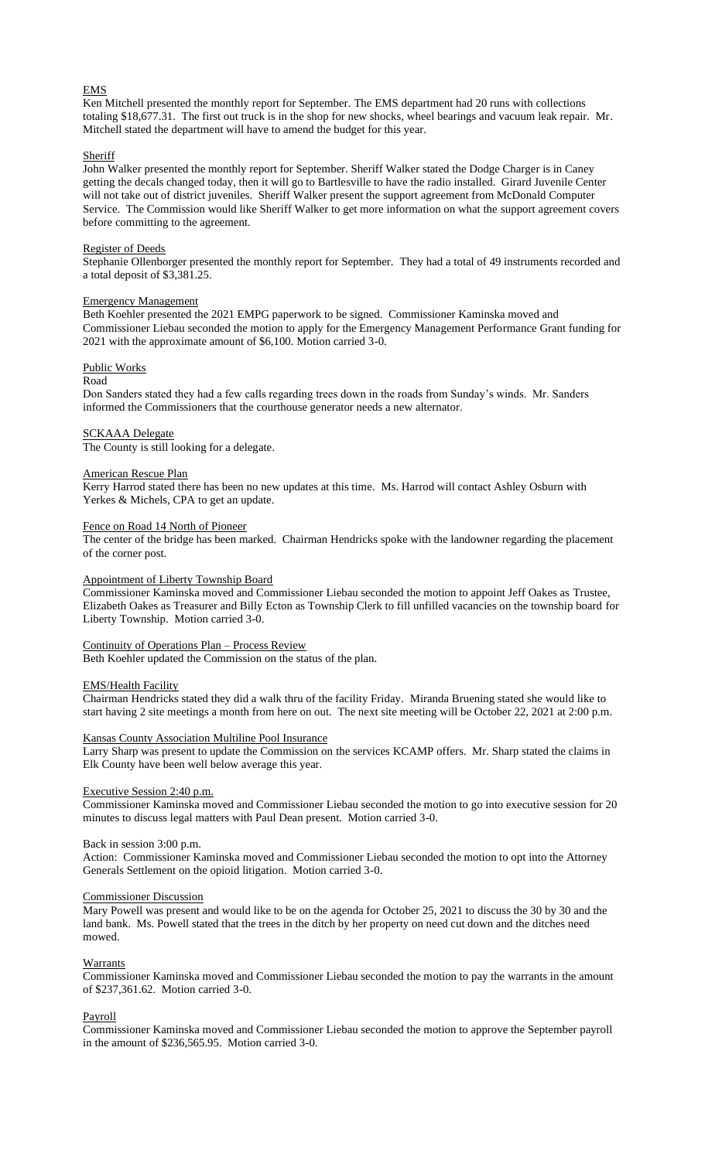## EMS

Ken Mitchell presented the monthly report for September. The EMS department had 20 runs with collections totaling \$18,677.31. The first out truck is in the shop for new shocks, wheel bearings and vacuum leak repair. Mr. Mitchell stated the department will have to amend the budget for this year.

## Sheriff

John Walker presented the monthly report for September. Sheriff Walker stated the Dodge Charger is in Caney getting the decals changed today, then it will go to Bartlesville to have the radio installed. Girard Juvenile Center will not take out of district juveniles. Sheriff Walker present the support agreement from McDonald Computer Service. The Commission would like Sheriff Walker to get more information on what the support agreement covers before committing to the agreement.

## Register of Deeds

Stephanie Ollenborger presented the monthly report for September. They had a total of 49 instruments recorded and a total deposit of \$3,381.25.

#### Emergency Management

Beth Koehler presented the 2021 EMPG paperwork to be signed. Commissioner Kaminska moved and Commissioner Liebau seconded the motion to apply for the Emergency Management Performance Grant funding for 2021 with the approximate amount of \$6,100. Motion carried 3-0.

## Public Works

## Road

Don Sanders stated they had a few calls regarding trees down in the roads from Sunday's winds. Mr. Sanders informed the Commissioners that the courthouse generator needs a new alternator.

#### SCKAAA Delegate

The County is still looking for a delegate.

## American Rescue Plan

Kerry Harrod stated there has been no new updates at this time. Ms. Harrod will contact Ashley Osburn with Yerkes & Michels, CPA to get an update.

## Fence on Road 14 North of Pioneer

The center of the bridge has been marked. Chairman Hendricks spoke with the landowner regarding the placement of the corner post.

#### Appointment of Liberty Township Board

Commissioner Kaminska moved and Commissioner Liebau seconded the motion to appoint Jeff Oakes as Trustee, Elizabeth Oakes as Treasurer and Billy Ecton as Township Clerk to fill unfilled vacancies on the township board for Liberty Township. Motion carried 3-0.

## Continuity of Operations Plan – Process Review

Beth Koehler updated the Commission on the status of the plan.

## EMS/Health Facility

Chairman Hendricks stated they did a walk thru of the facility Friday. Miranda Bruening stated she would like to start having 2 site meetings a month from here on out. The next site meeting will be October 22, 2021 at 2:00 p.m.

#### Kansas County Association Multiline Pool Insurance

Larry Sharp was present to update the Commission on the services KCAMP offers. Mr. Sharp stated the claims in Elk County have been well below average this year.

## Executive Session 2:40 p.m.

Commissioner Kaminska moved and Commissioner Liebau seconded the motion to go into executive session for 20 minutes to discuss legal matters with Paul Dean present. Motion carried 3-0.

#### Back in session 3:00 p.m.

Action: Commissioner Kaminska moved and Commissioner Liebau seconded the motion to opt into the Attorney Generals Settlement on the opioid litigation. Motion carried 3-0.

#### Commissioner Discussion

Mary Powell was present and would like to be on the agenda for October 25, 2021 to discuss the 30 by 30 and the land bank. Ms. Powell stated that the trees in the ditch by her property on need cut down and the ditches need mowed.

## Warrants

Commissioner Kaminska moved and Commissioner Liebau seconded the motion to pay the warrants in the amount of \$237,361.62. Motion carried 3-0.

#### Payroll

Commissioner Kaminska moved and Commissioner Liebau seconded the motion to approve the September payroll in the amount of \$236,565.95. Motion carried 3-0.